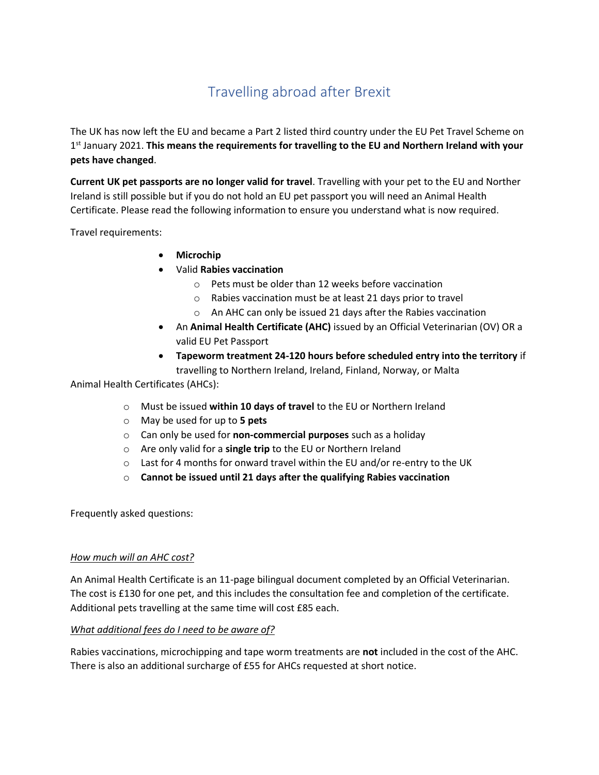# Travelling abroad after Brexit

The UK has now left the EU and became a Part 2 listed third country under the EU Pet Travel Scheme on 1<sup>st</sup> January 2021. This means the requirements for travelling to the EU and Northern Ireland with your **pets have changed**.

**Current UK pet passports are no longer valid for travel**. Travelling with your pet to the EU and Norther Ireland is still possible but if you do not hold an EU pet passport you will need an Animal Health Certificate. Please read the following information to ensure you understand what is now required.

Travel requirements:

- **Microchip**
- Valid **Rabies vaccination**
	- o Pets must be older than 12 weeks before vaccination
	- o Rabies vaccination must be at least 21 days prior to travel
	- o An AHC can only be issued 21 days after the Rabies vaccination
- An **Animal Health Certificate (AHC)** issued by an Official Veterinarian (OV) OR a valid EU Pet Passport
- **Tapeworm treatment 24-120 hours before scheduled entry into the territory** if travelling to Northern Ireland, Ireland, Finland, Norway, or Malta

Animal Health Certificates (AHCs):

- o Must be issued **within 10 days of travel** to the EU or Northern Ireland
- o May be used for up to **5 pets**
- o Can only be used for **non-commercial purposes** such as a holiday
- o Are only valid for a **single trip** to the EU or Northern Ireland
- o Last for 4 months for onward travel within the EU and/or re-entry to the UK
- o **Cannot be issued until 21 days after the qualifying Rabies vaccination**

Frequently asked questions:

## *How much will an AHC cost?*

An Animal Health Certificate is an 11-page bilingual document completed by an Official Veterinarian. The cost is £130 for one pet, and this includes the consultation fee and completion of the certificate. Additional pets travelling at the same time will cost £85 each.

## *What additional fees do I need to be aware of?*

Rabies vaccinations, microchipping and tape worm treatments are **not** included in the cost of the AHC. There is also an additional surcharge of £55 for AHCs requested at short notice.